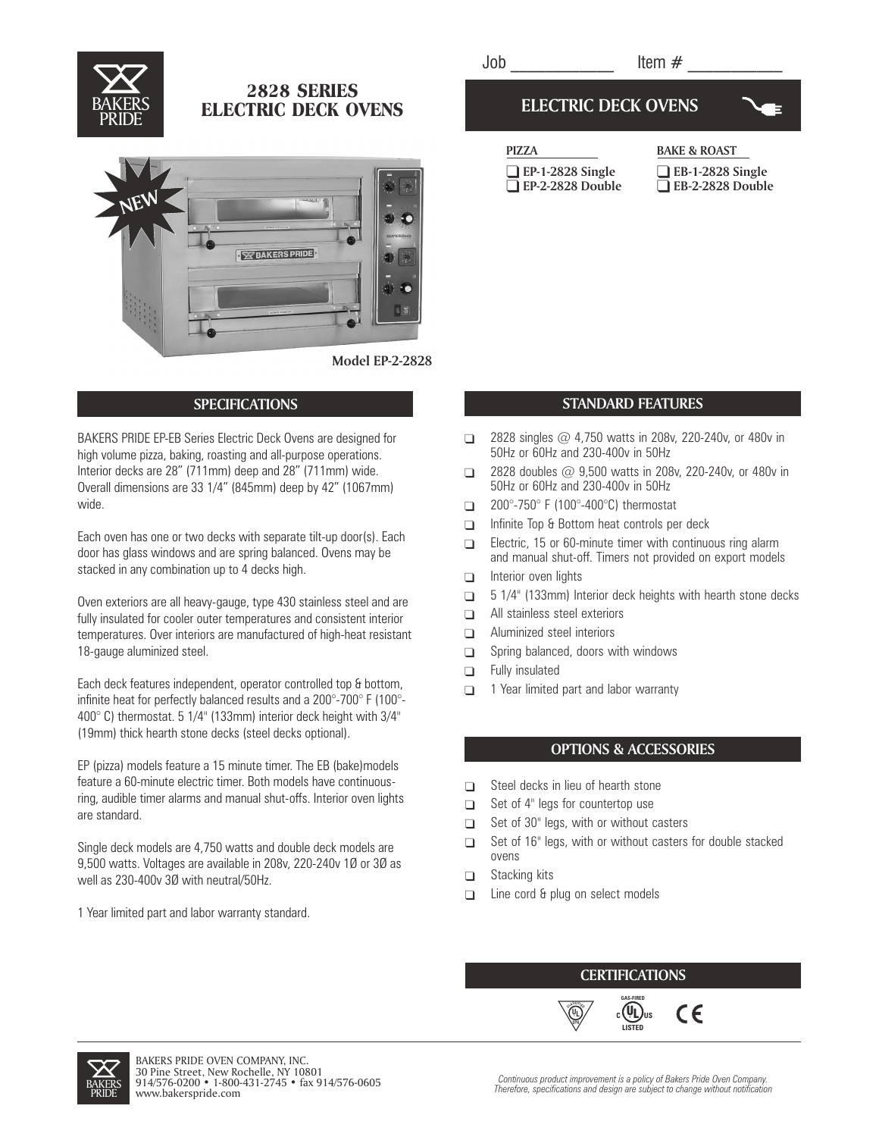

# 2828 SERIES **ELECTRIC DECK OVENS**



#### **Model EP-2-2828**

## **SPECIFICATIONS**

BAKERS PRIDE EP-EB Series Electric Deck Ovens are designed for high volume pizza, baking, roasting and all-purpose operations. Interior decks are 28" (711mm) deep and 28" (711mm) wide. Overall dimensions are 33 1/4" (845mm) deep by 42" (1067mm) wide.

Each oven has one or two decks with separate tilt-up door(s). Each door has glass windows and are spring balanced. Ovens may be stacked in any combination up to 4 decks high.

Oven exteriors are all heavy-gauge, type 430 stainless steel and are fully insulated for cooler outer temperatures and consistent interior temperatures. Over interiors are manufactured of high-heat resistant 18-gauge aluminized steel.

Each deck features independent, operator controlled top & bottom, infinite heat for perfectly balanced results and a 200°-700° F (100°- 400° C) thermostat. 5 1/4" (133mm) interior deck height with 3/4" (19mm) thick hearth stone decks (steel decks optional).

EP (pizza) models feature a 15 minute timer. The EB (bake)models feature a 60-minute electric timer. Both models have continuousring, audible timer alarms and manual shut-offs. Interior oven lights are standard.

Single deck models are 4,750 watts and double deck models are 9,500 watts. Voltages are available in 208v, 220-240v 1Ø or 3Ø as well as 230-400v 3Ø with neutral/50Hz.

1 Year limited part and labor warranty standard.

## **ELECTRIC DECK OVENS**



| <b>PIZZA</b>            |  |
|-------------------------|--|
| $\Box$ EP-1-2828 Single |  |
| $\Box$ EP-2-2828 Double |  |

**BAKE & ROAST** 

 **EB-1-2828 Single EB-2-2828 Double**

#### **STANDARD FEATURES**

- $\Box$ 2828 singles @ 4,750 watts in 208v, 220-240v, or 480v in 50Hz or 60Hz and 230-400v in 50Hz
- $\Box$ 2828 doubles @ 9,500 watts in 208v, 220-240v, or 480v in 50Hz or 60Hz and 230-400v in 50Hz
- $\Box$ 200°-750° F (100°-400°C) thermostat
- $\Box$ Infinite Top & Bottom heat controls per deck
- $\Box$ Electric, 15 or 60-minute timer with continuous ring alarm and manual shut-off. Timers not provided on export models
- $\Box$ Interior oven lights
- $\Box$ 5 1/4" (133mm) Interior deck heights with hearth stone decks
- $\Box$ All stainless steel exteriors
- $\Box$ Aluminized steel interiors
- $\Box$ Spring balanced, doors with windows
- $\Box$ Fully insulated
- $\Box$ 1 Year limited part and labor warranty

### **OPTIONS & ACCESSORIES**

- $\Box$ Steel decks in lieu of hearth stone
- $\Box$ Set of 4" legs for countertop use
- $\Box$ Set of 30" legs, with or without casters
- $\Box$ Set of 16" legs, with or without casters for double stacked ovens
- $\Box$ Stacking kits
- $\Box$ Line cord & plug on select models

**<sup>C</sup>LASSIFIE<sup>D</sup> EPH**

#### **CERTIFICATIONS GAS-FIRED**

**LISTED**

 $\epsilon$ 

 $\overline{\mathbb{D}}$  c (U<sub>L</sub>)<sub>us</sub>